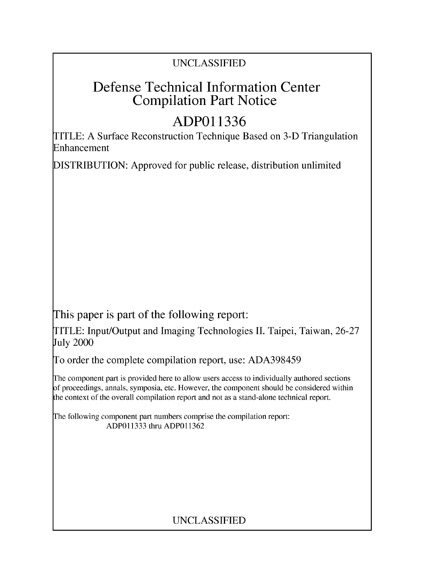### UNCLASSIFIED

## Defense Technical Information Center Compilation Part Notice

# **ADPO1 1336**

TITLE: A Surface Reconstruction Technique Based on 3-D Triangulation Enhancement

DISTRIBUTION: Approved for public release, distribution unlimited

This paper is part of the following report:

TITLE: Input/Output and Imaging Technologies II. Taipei, Taiwan, 26-27 July 2000

To order the complete compilation report, use: ADA398459

The component part is provided here to allow users access to individually authored sections f proceedings, annals, symposia, etc. However, the component should be considered within [he context of the overall compilation report and not as a stand-alone technical report.

The following component part numbers comprise the compilation report: ADP011333 thru ADP011362

## UNCLASSIFIED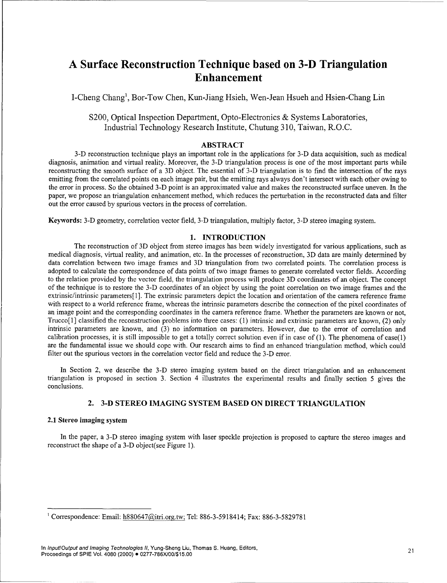### **A** Surface Reconstruction Technique based on **3-D** Triangulation Enhancement

I-Cheng Chang', Bor-Tow Chen, Kun-Jiang Hsieh, Wen-Jean Hsueh and Hsien-Chang Lin

S200, Optical Inspection Department, Opto-Electronics & Systems Laboratories, Industrial Technology Research Institute, Chutung 310, Taiwan, R.O.C.

#### ABSTRACT

3-D reconstruction technique plays an important role in the applications for 3-D data acquisition, such as medical diagnosis, animation and virtual reality. Moreover, the 3-D triangulation process is one of the most important parts while reconstructing the smooth surface of a 3D object. The essential of 3-D triangulation is to find the intersection of the rays emitting from the correlated points on each image pair, but the emitting rays always don't intersect with each other owing to the error in process. So the obtained 3-D point is an approximated value and makes the reconstructed surface uneven. In the paper, we propose an triangulation enhancement method, which reduces the perturbation in the reconstructed data and filter out the error caused by spurious vectors in the process of correlation.

Keywords: 3-D geometry, correlation vector field, 3-D triangulation, multiply factor, 3-D stereo imaging system.

#### 1. **INTRODUCTION**

The reconstruction of 3D object from stereo images has been widely investigated for various applications, such as medical diagnosis, virtual reality, and animation, etc. In the processes of reconstruction, 3D data are mainly determined by data correlation between two image frames and 3D triangulation from two correlated points. The correlation process is adopted to calculate the correspondence of data points of two image frames to generate correlated vector fields. According to the relation provided by the vector field, the triangulation process will produce 3D coordinates of an object. The concept of the technique is to restore the 3-D coordinates of an object by using the point correlation on two image frames and the extrinsic/intrinsic parameters[l1]. The extrinsic parameters depict the location and orientation of the camera reference frame with respect to a world reference frame, whereas the intrinsic parameters describe the connection of the pixel coordinates of an image point and the corresponding coordinates in the camera reference frame. Whether the parameters are known or not, Trucco[l] classified the reconstruction problems into three cases: (1) intrinsic and extrinsic parameters are known, (2) only intrinsic parameters are known, and (3) no information on parameters. However, due to the error of correlation and calibration processes, it is still impossible to get a totally correct solution even if in case of (1). The phenomena of case(l) are the fundamental issue we should cope with. Our research aims to find an enhanced triangulation method, which could filter out the spurious vectors in the correlation vector field and reduce the 3-D error.

In Section 2, we describe the 3-D stereo imaging system based on the direct triangulation and an enhancement triangulation is proposed in section 3. Section 4 illustrates the experimental results and finally section 5 gives the conclusions.

#### 2. 3-D STEREO **IMAGING** SYSTEM **BASED ON** DIRECT **TRIANGULATION**

#### 2.1 Stereo imaging system

In the paper, a 3-D stereo imaging system with laser speckle projection is proposed to capture the stereo images and reconstruct the shape of a 3-D object(see Figure 1).

 $1$  Correspondence: Email: h880647@itri.org.tw; Tel: 886-3-5918414; Fax: 886-3-5829781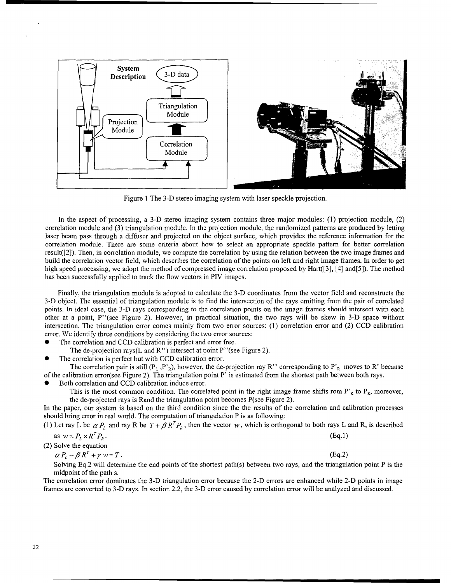

Figure 1 The 3-D stereo imaging system with laser speckle projection.

In the aspect of processing, a 3-D stereo imaging system contains three major modules: (1) projection module, (2) correlation module and (3) triangulation module. In the projection module, the randomized patterns are produced by letting laser beam pass through a diffuser and projected on the object surface, which provides the reference information for the correlation module. There are some criteria about how to select an appropriate speckle pattern for better correlation result([2]). Then, in correlation module, we compute the correlation by using the relation between the two image frames and build the correlation vector field, which describes the correlation of the points on left and right image frames. In order to get high speed processing, we adopt the method of compressed image correlation proposed by Hart([3], [4] and[5]). The method has been successfully applied to track the flow vectors in PIV images.

Finally, the triangulation module is adopted to calculate the 3-D coordinates from the vector field and reconstructs the 3-D object. The essential of triangulation module is to find the intersection of the rays emitting from the pair of correlated points. In ideal case, the **3-1)** rays corresponding to the correlation points on the image frames should intersect with each other at a point, P"(see Figure 2). However, in practical situation, the two rays will be skew in 3-D space without intersection. The triangulation error comes mainly from two error sources: (1) correlation error and (2) CCD calibration error. We identify three conditions by considering the two error sources:

- The correlation and CCD calibration is perfect and error free.
- The de-projection rays(L and R") intersect at point P" (see Figure 2).
- The correlation is perfect but with CCD calibration error.

The correlation pair is still  $(P_L, P_R)$ , however, the de-projection ray R" corresponding to P'<sub>R</sub> moves to R' because of the calibration error(see Figure 2). The triangulation point P' is estimated from the shortest path between both rays.

Both correlation and CCD calibration induce error.

This is the most common condition. The correlated point in the right image frame shifts rom  $P'_{R}$  to  $P_{R}$ , moreover, the de-projected rays is Rand the triangulation point becomes P(see Figure 2).

In the paper, our system is based on the third condition since the the results of the correlation and calibration processes should bring error in real world. The computation of triangulation P is as following:

(1) Let ray L be  $\alpha P_L$  and ray R be  $T + \beta R^T P_R$ , then the vector w, which is orthogonal to both rays L and R, is described

as 
$$
w = P_L \times R^T P_R
$$
. (Eq.1)

(2) Solve the equation  
\n
$$
\alpha P_L - \beta R^T + \gamma w = T.
$$
\n(Eq.2)

Solving Eq.2 will determine the end points of the shortest path(s) between two rays, and the triangulation point P is the midpoint of the path s.

The correlation error dominates the 3-D triangulation error because the 2-D errors are enhanced while 2-D points in image frames are converted to 3-D rays. In section 2.2, the 3-D error caused by correlation error will be analyzed and discussed.

22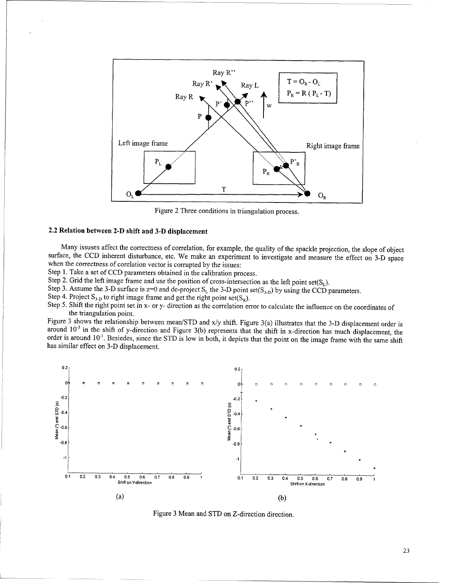

Figure 2 Three conditions in triangulation process.

#### 2.2 Relation between 2-D shift and 3-D displacement

Many issuses affect the correctness of correlation, for example, the quality of the spackle projection, the slope of object surface, the CCD inherent disturbance, etc. We make an experiment to investigate and measure the e

Step 1. Take a set of CCD parameters obtained in the calibration process.

Step 2. Grid the left image frame and use the position of cross-intersection as the left point set( $S_L$ ).

Step 3. Assume the 3-D surface is  $z=0$  and de-project  $S_L$  the 3-D point set( $S_{3-D}$ ) by using the CCD parameters.

Step 4. Project  $S_{3,D}$  to right image frame and get the right point set( $S_R$ ).

Step 5. Shift the right point set in x- or y- direction as the correlation error to calculate the influence on the coordinates of the triangulation point.

Figure 3 shows the relationship between mean/STD and x/y shift. Figure 3(a) illustrates that the 3-D displacement order is around **10'3** in the shift of y-direction and Figure 3(b) represents that the shift in x-direction has much displacement, the order is around 10'. Besiedes, since the STD is low in both, it depicts that the point on the image frame with the same shift has similar effect on 3-D displacement.



Figure 3 Mean and STD on Z-direction direction.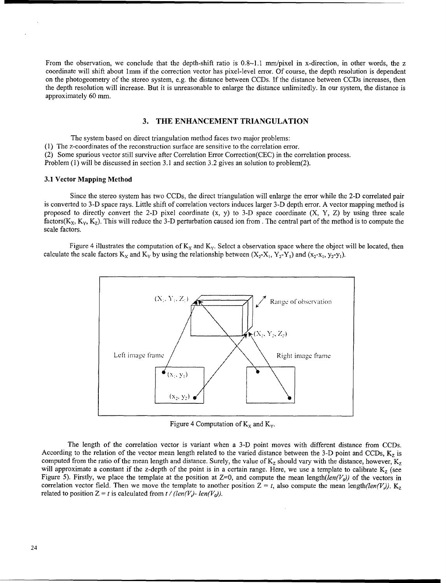From the observation, we conclude that the depth-shift ratio is 0.8~1.1 mm/pixel in x-direction, in other words, the z coordinate will shift about 1mm if the correction vector has pixel-level error. Of course, the depth resolution is dependent on the photogeometry of the stereo system, e.g. the distance between CCDs. If the distance between CCDs increases, then the depth resolution will increase. But it is unreasonable to enlarge the distance unlimitedly. In our system, the distance is approximately 60 mm.

#### **3.** THE **ENHANCEMENT TRIANGULATION**

The system based on direct triangulation method faces two major problems:

(1) The z-coordinates of the reconstruction surface are sensitive to the correlation error.

(2) Some spurious vector still survive after Correlation Error Correction(CEC) in the correlation process.

Problem (1) will be discussed in section 3.1 and section 3.2 gives an solution to problem(2).

#### **3.1** Vector Mapping Method

Since the stereo system has two CCDs, the direct triangulation will enlarge the error while the 2-D correlated pair is converted to 3-D space rays. Little shift of correlation vectors induces larger 3-D depth error. A vector mapping method is proposed to directly convert the 2-D pixel coordinate  $(x, y)$  to 3-D space coordinate  $(X, Y, Z)$  by using three scale factors( $K_x$ ,  $K_y$ ,  $K_z$ ). This will reduce the 3-D perturbation caused ion from. The central part of the method is to compute the scale factors.

Figure 4 illustrates the computation of  $K_x$  and  $K_y$ . Select a observation space where the object will be located, then calculate the scale factors  $K_x$  and  $K_y$  by using the relationship between  $(X_2-X_1, Y_2-Y_1)$  and  $(x_2-x_1, y_2-y_1)$ .



Figure 4 Computation of  $K_X$  and  $K_Y$ .

The length of the correlation vector is variant when a 3-D point moves with different distance from CCDs. According to the relation of the vector mean length related to the varied distance between the 3-D point and CCDs,  $K_z$  is computed from the ratio of the mean length and distance. Surely, the value of  $K_z$  should vary with the distance, however,  $K_z$ will approximate a constant if the z-depth of the point is in a certain range. Here, we use a template to calibrate  $K_z$  (see Figure 5). Firstly, we place the template at the position at Z=0, and compute the mean length(len(V<sub>a</sub>)) of the vectors in correlation vector field. Then we move the template to another position  $Z = t$ , also compute the mean length(len(V)).  $K_z$ related to position  $Z = t$  is calculated from  $t / (len(V_i) - len(V_0))$ .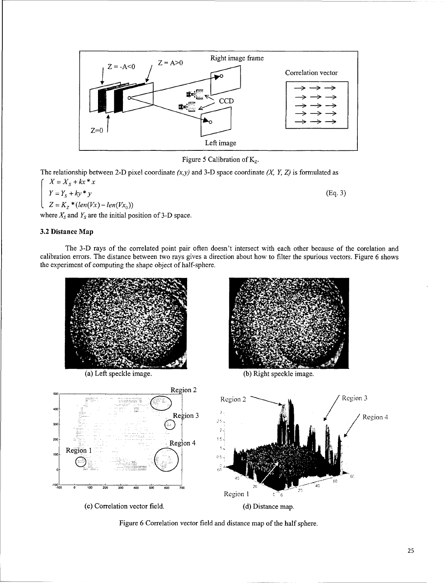

Figure 5 Calibration of  $K_z$ .

The relationship between 2-D pixel coordinate  $(x, y)$  and 3-D space coordinate  $(X, Y, Z)$  is formulated as

 $X = X_s + kx * x$  $Y = Y_s + ky * y$  (Eq. 3)  $Z = K_z * (len(Vx) - len(Vx_0))$ 

where  $X_s$  and  $Y_s$  are the initial position of 3-D space.

#### **3.2** Distance Map

The 3-D rays of the correlated point pair often doesn't intersect with each other because of the corelation and calibration errors. The distance between two rays gives a direction about how to filter the spurious vectors. Figure 6 shows the experiment of computing the shape object of half-sphere.



Figure 6 Correlation vector field and distance map of the half sphere.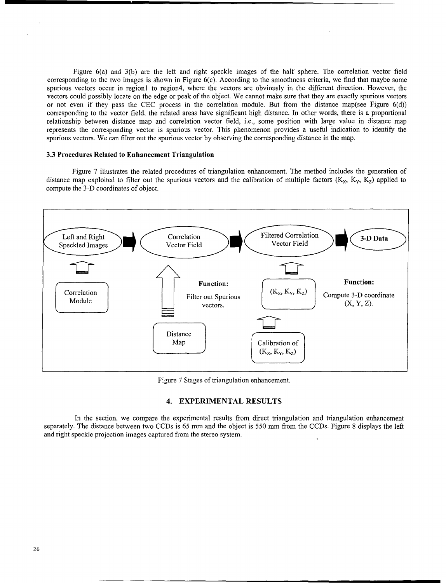Figure 6(a) and 3(b) are the left and right speckle images of the half sphere. The correlation vector field corresponding to the two images is shown in Figure 6(c). According to the smoothness criteria, we find that maybe some spurious vectors occur in region1 to region4, where the vectors are obviously in the different direction. However, the vectors could possibly locate on the edge or peak of the object. We cannot make sure that they are exactly spurious vectors or not even if they pass the CEC process in the correlation module. But from the distance map(see Figure 6(d)) corresponding to the vector field, the related areas have significant high distance. In other words, there is a proportional relationship between distance map and correlation vector field, i.e., some position with large value in distance map represents the corresponding vector is spurious vector. This phenomenon provides a useful indication to identify the spurious vectors. We can filter out the spurious vector by observing the corresponding distance in the map.

#### **3.3** Procedures Related to Enhancement Triangulation

Figure 7 illustrates the related procedures of triangulation enhancement. The method includes the generation of distance map exploited to filter out the spurious vectors and the calibration of multiple factors  $(K_x, K_y, K_z)$  applied to compute the 3-D coordinates of object.



Figure 7 Stages of triangulation enhancement,

#### 4. EXPERIMENTAL **RESULTS**

In the section, we compare the experimental results from direct triangulation and triangulation enhancement separately. The distance between two CCDs is 65 mm and the object is 550 mm from the CCDs. Figure 8 displays the left and right speckle projection images captured from the stereo system.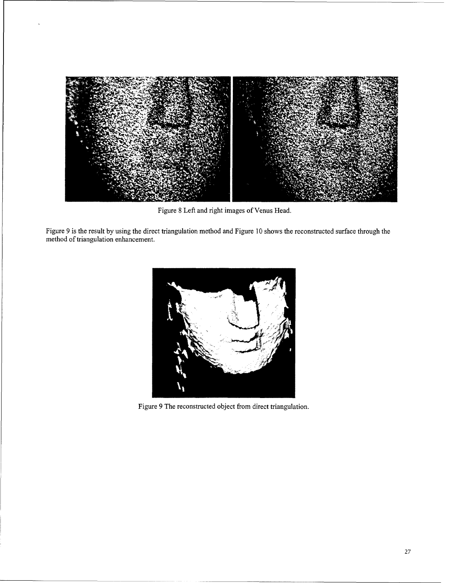

Figure 8 Left and right images of Venus Head.

Figure 9 is the result by using the direct triangulation method and Figure 10 shows the reconstructed surface through the method of triangulation enhancement.



Figure 9 The reconstructed object from direct triangulation.